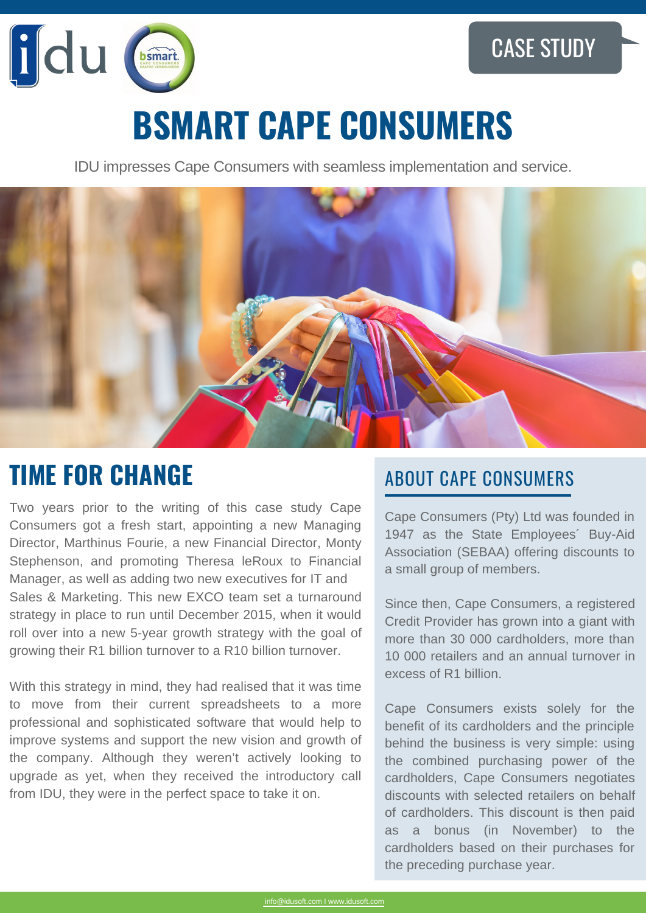

# **BSMART CAPE CONSUMERS**

IDU impresses Cape Consumers with seamless implementation and service.



## **TIME FOR CHANGE** ABOUT CAPE CONSUMERS

Two years prior to the writing of this case study Cape Consumers got a fresh start, appointing a new Managing Director, Marthinus Fourie, a new Financial Director, Monty Stephenson, and promoting Theresa leRoux to Financial Manager, as well as adding two new executives for IT and Sales & Marketing. This new EXCO team set a turnaround strategy in place to run until December 2015, when it would roll over into a new 5-year growth strategy with the goal of growing their R1 billion turnover to a R10 billion turnover.

With this strategy in mind, they had realised that it was time to move from their current spreadsheets to a more professional and sophisticated software that would help to improve systems and support the new vision and growth of the company. Although they weren't actively looking to upgrade as yet, when they received the introductory call from IDU, they were in the perfect space to take it on.

Cape Consumers (Pty) Ltd was founded in 1947 as the State Employees´ Buy-Aid Association (SEBAA) offering discounts to a small group of members.

Since then, Cape Consumers, a registered Credit Provider has grown into a giant with more than 30 000 cardholders, more than 10 000 retailers and an annual turnover in excess of R1 billion.

Cape Consumers exists solely for the benefit of its cardholders and the principle behind the business is very simple: using the combined purchasing power of the cardholders, Cape Consumers negotiates discounts with selected retailers on behalf of cardholders. This discount is then paid as a bonus (in November) to the cardholders based on their purchases for the preceding purchase year.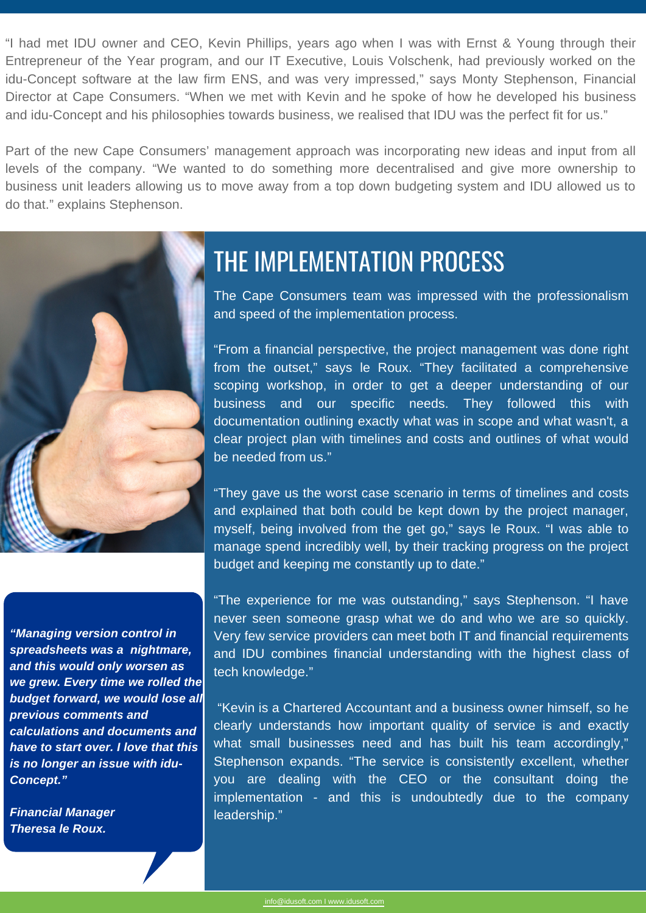"I had met IDU owner and CEO, Kevin Phillips, years ago when I was with Ernst & Young through their Entrepreneur of the Year program, and our IT Executive, Louis Volschenk, had previously worked on the idu-Concept software at the law firm ENS, and was very impressed," says Monty Stephenson, Financial Director at Cape Consumers. "When we met with Kevin and he spoke of how he developed his business and idu-Concept and his philosophies towards business, we realised that IDU was the perfect fit for us."

Part of the new Cape Consumers' management approach was incorporating new ideas and input from all levels of the company. "We wanted to do something more decentralised and give more ownership to business unit leaders allowing us to move away from a top down budgeting system and IDU allowed us to do that." explains Stephenson.



*"Managing version control in spreadsheets was a nightmare, and this would only worsen as we grew. Every time we rolled the budget forward, we would lose all previous comments and calculations and documents and have to start over. I love that this is no longer an issue with idu-Concept."*

*Financial Manager Theresa le Roux.*

#### THE IMPLEMENTATION PROCESS

The Cape Consumers team was impressed with the professionalism and speed of the implementation process.

"From a financial perspective, the project management was done right from the outset," says le Roux. "They facilitated a comprehensive scoping workshop, in order to get a deeper understanding of our business and our specific needs. They followed this with documentation outlining exactly what was in scope and what wasn't, a clear project plan with timelines and costs and outlines of what would be needed from us."

"They gave us the worst case scenario in terms of timelines and costs and explained that both could be kept down by the project manager, myself, being involved from the get go," says le Roux. "I was able to manage spend incredibly well, by their tracking progress on the project budget and keeping me constantly up to date."

"The experience for me was outstanding," says Stephenson. "I have never seen someone grasp what we do and who we are so quickly. Very few service providers can meet both IT and financial requirements and IDU combines financial understanding with the highest class of tech knowledge."

"Kevin is a Chartered Accountant and a business owner himself, so he clearly understands how important quality of service is and exactly what small businesses need and has built his team accordingly," Stephenson expands. "The service is consistently excellent, whether you are dealing with the CEO or the consultant doing the implementation - and this is undoubtedly due to the company leadership."